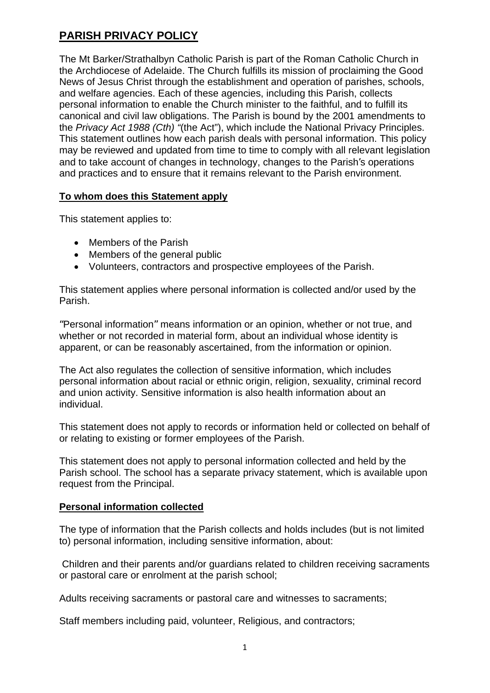# **PARISH PRIVACY POLICY**

The Mt Barker/Strathalbyn Catholic Parish is part of the Roman Catholic Church in the Archdiocese of Adelaide. The Church fulfills its mission of proclaiming the Good News of Jesus Christ through the establishment and operation of parishes, schools, and welfare agencies. Each of these agencies, including this Parish, collects personal information to enable the Church minister to the faithful, and to fulfill its canonical and civil law obligations. The Parish is bound by the 2001 amendments to the *Privacy Act 1988 (Cth) "*(the Act"), which include the National Privacy Principles. This statement outlines how each parish deals with personal information. This policy may be reviewed and updated from time to time to comply with all relevant legislation and to take account of changes in technology, changes to the Parish's operations and practices and to ensure that it remains relevant to the Parish environment.

## **To whom does this Statement apply**

This statement applies to:

- Members of the Parish
- Members of the general public
- Volunteers, contractors and prospective employees of the Parish.

This statement applies where personal information is collected and/or used by the Parish.

"Personal information" means information or an opinion, whether or not true, and whether or not recorded in material form, about an individual whose identity is apparent, or can be reasonably ascertained, from the information or opinion.

The Act also regulates the collection of sensitive information, which includes personal information about racial or ethnic origin, religion, sexuality, criminal record and union activity. Sensitive information is also health information about an individual.

This statement does not apply to records or information held or collected on behalf of or relating to existing or former employees of the Parish.

This statement does not apply to personal information collected and held by the Parish school. The school has a separate privacy statement, which is available upon request from the Principal.

## **Personal information collected**

The type of information that the Parish collects and holds includes (but is not limited to) personal information, including sensitive information, about:

 Children and their parents and/or guardians related to children receiving sacraments or pastoral care or enrolment at the parish school;

Adults receiving sacraments or pastoral care and witnesses to sacraments;

Staff members including paid, volunteer, Religious, and contractors;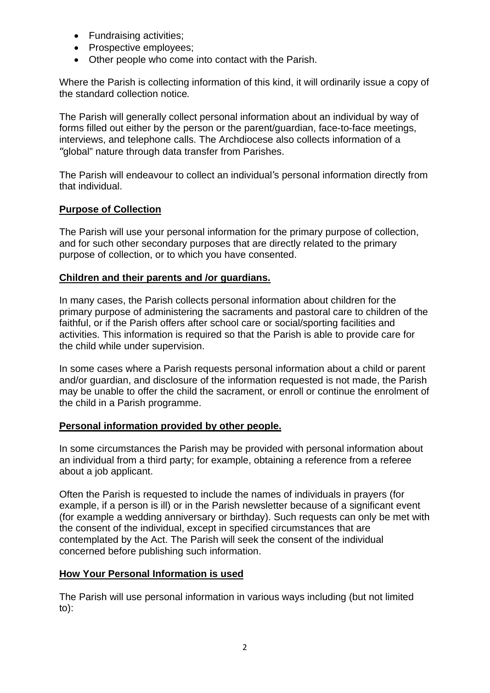- Fundraising activities;
- Prospective employees;
- Other people who come into contact with the Parish.

Where the Parish is collecting information of this kind, it will ordinarily issue a copy of the standard collection notice*.* 

The Parish will generally collect personal information about an individual by way of forms filled out either by the person or the parent/guardian, face-to-face meetings, interviews, and telephone calls. The Archdiocese also collects information of a "global" nature through data transfer from Parishes.

The Parish will endeavour to collect an individual's personal information directly from that individual.

## **Purpose of Collection**

The Parish will use your personal information for the primary purpose of collection, and for such other secondary purposes that are directly related to the primary purpose of collection, or to which you have consented.

## **Children and their parents and /or guardians.**

In many cases, the Parish collects personal information about children for the primary purpose of administering the sacraments and pastoral care to children of the faithful, or if the Parish offers after school care or social/sporting facilities and activities. This information is required so that the Parish is able to provide care for the child while under supervision.

In some cases where a Parish requests personal information about a child or parent and/or guardian, and disclosure of the information requested is not made, the Parish may be unable to offer the child the sacrament, or enroll or continue the enrolment of the child in a Parish programme.

### **Personal information provided by other people.**

In some circumstances the Parish may be provided with personal information about an individual from a third party; for example, obtaining a reference from a referee about a job applicant.

Often the Parish is requested to include the names of individuals in prayers (for example, if a person is ill) or in the Parish newsletter because of a significant event (for example a wedding anniversary or birthday). Such requests can only be met with the consent of the individual, except in specified circumstances that are contemplated by the Act. The Parish will seek the consent of the individual concerned before publishing such information.

### **How Your Personal Information is used**

The Parish will use personal information in various ways including (but not limited to):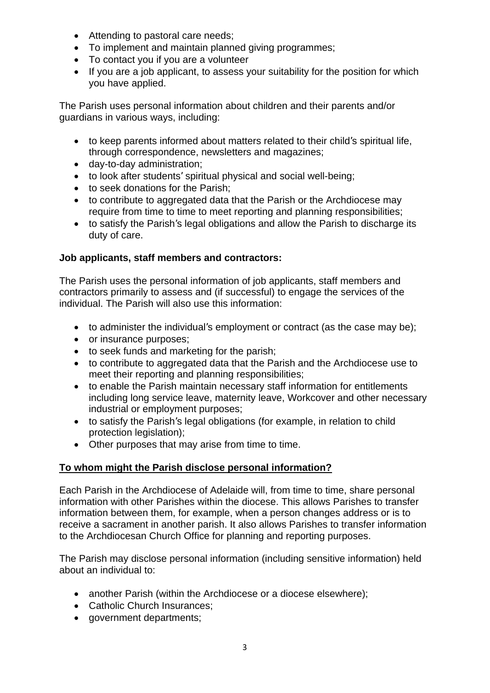- Attending to pastoral care needs;
- To implement and maintain planned giving programmes;
- To contact you if you are a volunteer
- If you are a job applicant, to assess your suitability for the position for which you have applied.

The Parish uses personal information about children and their parents and/or guardians in various ways, including:

- to keep parents informed about matters related to their child's spiritual life, through correspondence, newsletters and magazines;
- day-to-day administration;
- to look after students' spiritual physical and social well-being;
- to seek donations for the Parish;
- to contribute to aggregated data that the Parish or the Archdiocese may require from time to time to meet reporting and planning responsibilities;
- to satisfy the Parish's legal obligations and allow the Parish to discharge its duty of care.

## **Job applicants, staff members and contractors:**

The Parish uses the personal information of job applicants, staff members and contractors primarily to assess and (if successful) to engage the services of the individual. The Parish will also use this information:

- to administer the individual's employment or contract (as the case may be);
- or insurance purposes;
- to seek funds and marketing for the parish;
- to contribute to aggregated data that the Parish and the Archdiocese use to meet their reporting and planning responsibilities;
- to enable the Parish maintain necessary staff information for entitlements including long service leave, maternity leave, Workcover and other necessary industrial or employment purposes;
- to satisfy the Parish's legal obligations (for example, in relation to child protection legislation);
- Other purposes that may arise from time to time.

## **To whom might the Parish disclose personal information?**

Each Parish in the Archdiocese of Adelaide will, from time to time, share personal information with other Parishes within the diocese. This allows Parishes to transfer information between them, for example, when a person changes address or is to receive a sacrament in another parish. It also allows Parishes to transfer information to the Archdiocesan Church Office for planning and reporting purposes.

The Parish may disclose personal information (including sensitive information) held about an individual to:

- another Parish (within the Archdiocese or a diocese elsewhere):
- Catholic Church Insurances;
- aovernment departments: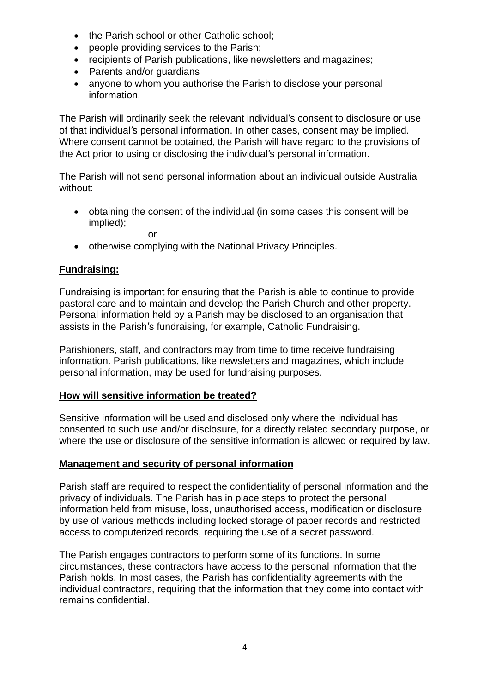- the Parish school or other Catholic school;
- people providing services to the Parish;
- recipients of Parish publications, like newsletters and magazines;
- Parents and/or quardians
- anyone to whom you authorise the Parish to disclose your personal information.

The Parish will ordinarily seek the relevant individual's consent to disclosure or use of that individual's personal information. In other cases, consent may be implied. Where consent cannot be obtained, the Parish will have regard to the provisions of the Act prior to using or disclosing the individual's personal information.

The Parish will not send personal information about an individual outside Australia without:

 obtaining the consent of the individual (in some cases this consent will be implied);

or

• otherwise complying with the National Privacy Principles.

### **Fundraising:**

Fundraising is important for ensuring that the Parish is able to continue to provide pastoral care and to maintain and develop the Parish Church and other property. Personal information held by a Parish may be disclosed to an organisation that assists in the Parish's fundraising, for example, Catholic Fundraising.

Parishioners, staff, and contractors may from time to time receive fundraising information. Parish publications, like newsletters and magazines, which include personal information, may be used for fundraising purposes.

### **How will sensitive information be treated?**

Sensitive information will be used and disclosed only where the individual has consented to such use and/or disclosure, for a directly related secondary purpose, or where the use or disclosure of the sensitive information is allowed or required by law.

### **Management and security of personal information**

Parish staff are required to respect the confidentiality of personal information and the privacy of individuals. The Parish has in place steps to protect the personal information held from misuse, loss, unauthorised access, modification or disclosure by use of various methods including locked storage of paper records and restricted access to computerized records, requiring the use of a secret password.

The Parish engages contractors to perform some of its functions. In some circumstances, these contractors have access to the personal information that the Parish holds. In most cases, the Parish has confidentiality agreements with the individual contractors, requiring that the information that they come into contact with remains confidential.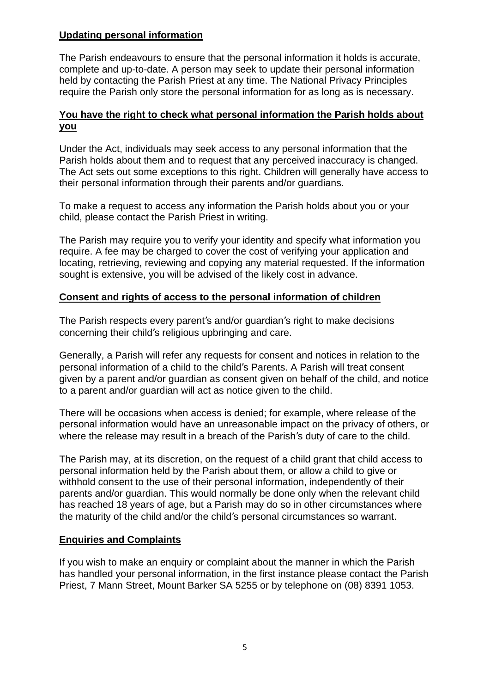## **Updating personal information**

The Parish endeavours to ensure that the personal information it holds is accurate, complete and up-to-date. A person may seek to update their personal information held by contacting the Parish Priest at any time. The National Privacy Principles require the Parish only store the personal information for as long as is necessary.

## **You have the right to check what personal information the Parish holds about you**

Under the Act, individuals may seek access to any personal information that the Parish holds about them and to request that any perceived inaccuracy is changed. The Act sets out some exceptions to this right. Children will generally have access to their personal information through their parents and/or guardians.

To make a request to access any information the Parish holds about you or your child, please contact the Parish Priest in writing.

The Parish may require you to verify your identity and specify what information you require. A fee may be charged to cover the cost of verifying your application and locating, retrieving, reviewing and copying any material requested. If the information sought is extensive, you will be advised of the likely cost in advance.

## **Consent and rights of access to the personal information of children**

The Parish respects every parent's and/or guardian's right to make decisions concerning their child's religious upbringing and care.

Generally, a Parish will refer any requests for consent and notices in relation to the personal information of a child to the child's Parents. A Parish will treat consent given by a parent and/or guardian as consent given on behalf of the child, and notice to a parent and/or guardian will act as notice given to the child.

There will be occasions when access is denied; for example, where release of the personal information would have an unreasonable impact on the privacy of others, or where the release may result in a breach of the Parish's duty of care to the child.

The Parish may, at its discretion, on the request of a child grant that child access to personal information held by the Parish about them, or allow a child to give or withhold consent to the use of their personal information, independently of their parents and/or guardian. This would normally be done only when the relevant child has reached 18 years of age, but a Parish may do so in other circumstances where the maturity of the child and/or the child's personal circumstances so warrant.

## **Enquiries and Complaints**

If you wish to make an enquiry or complaint about the manner in which the Parish has handled your personal information, in the first instance please contact the Parish Priest, 7 Mann Street, Mount Barker SA 5255 or by telephone on (08) 8391 1053.